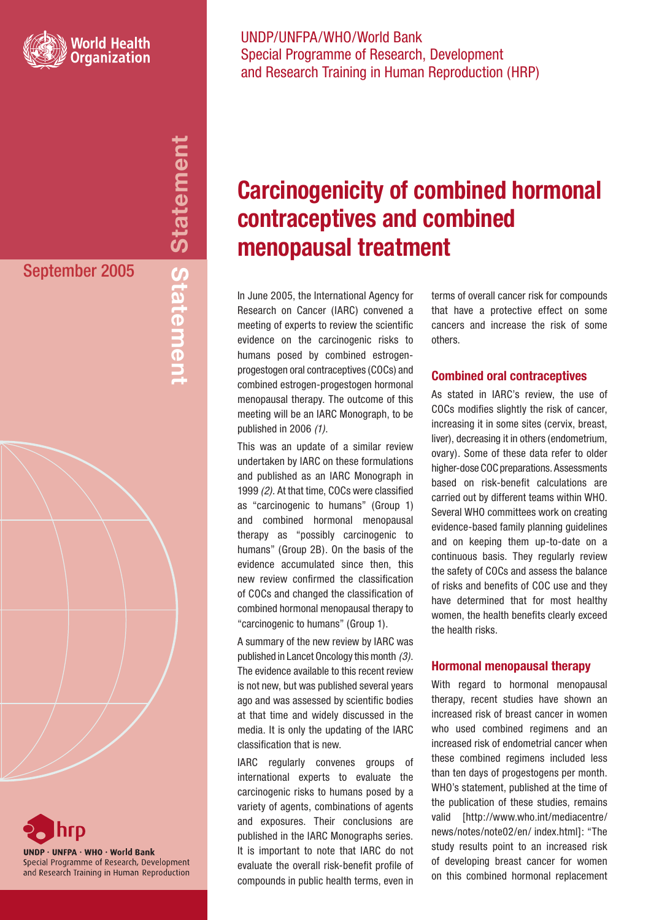

**Statement** Inemetal Statement September 2005 **Statement**



## UNDP/UNFPA/WHO/World Bank Special Programme of Research, Development and Research Training in Human Reproduction (HRP)

## **Carcinogenicity of combined hormonal contraceptives and combined menopausal treatment**

In June 2005, the International Agency for Research on Cancer (IARC) convened a meeting of experts to review the scientific evidence on the carcinogenic risks to humans posed by combined estrogenprogestogen oral contraceptives (COCs) and combined estrogen-progestogen hormonal menopausal therapy. The outcome of this meeting will be an IARC Monograph, to be published in 2006 (1).

This was an update of a similar review undertaken by IARC on these formulations and published as an IARC Monograph in 1999 (2). At that time, COCs were classified as "carcinogenic to humans" (Group 1) and combined hormonal menopausal therapy as "possibly carcinogenic to humans" (Group 2B). On the basis of the evidence accumulated since then, this new review confirmed the classification of COCs and changed the classification of combined hormonal menopausal therapy to "carcinogenic to humans" (Group 1).

A summary of the new review by IARC was published in Lancet Oncology this month (3). The evidence available to this recent review is not new, but was published several years ago and was assessed by scientific bodies at that time and widely discussed in the media. It is only the updating of the IARC classification that is new.

IARC regularly convenes groups of international experts to evaluate the carcinogenic risks to humans posed by a variety of agents, combinations of agents and exposures. Their conclusions are published in the IARC Monographs series. It is important to note that IARC do not evaluate the overall risk-benefit profile of compounds in public health terms, even in

terms of overall cancer risk for compounds that have a protective effect on some cancers and increase the risk of some others.

## **Combined oral contraceptives**

As stated in IARC's review, the use of COCs modifies slightly the risk of cancer, increasing it in some sites (cervix, breast, liver), decreasing it in others (endometrium, ovary). Some of these data refer to older higher-dose COC preparations. Assessments based on risk-benefit calculations are carried out by different teams within WHO. Several WHO committees work on creating evidence-based family planning guidelines and on keeping them up-to-date on a continuous basis. They regularly review the safety of COCs and assess the balance of risks and benefits of COC use and they have determined that for most healthy women, the health benefits clearly exceed the health risks.

## **Hormonal menopausal therapy**

With regard to hormonal menopausal therapy, recent studies have shown an increased risk of breast cancer in women who used combined regimens and an increased risk of endometrial cancer when these combined regimens included less than ten days of progestogens per month. WHO's statement, published at the time of the publication of these studies, remains valid [http://www.who.int/mediacentre/ news/notes/note02/en/ index.html]: "The study results point to an increased risk of developing breast cancer for women on this combined hormonal replacement